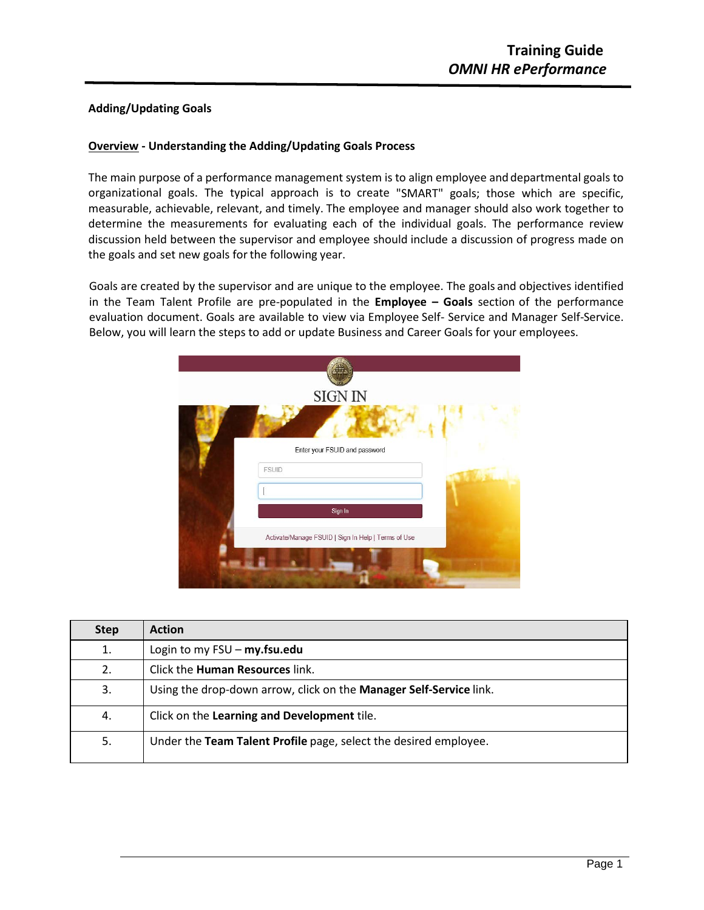## **Adding/Updating Goals**

## **Overview - Understanding the Adding/Updating Goals Process**

The main purpose of a performance management system is to align employee and departmental goals to organizational goals. The typical approach is to create "SMART" goals; those which are specific, measurable, achievable, relevant, and timely. The employee and manager should also work together to determine the measurements for evaluating each of the individual goals. The performance review discussion held between the supervisor and employee should include a discussion of progress made on the goals and set new goals forthe following year.

Goals are created by the supervisor and are unique to the employee. The goals and objectives identified in the Team Talent Profile are pre-populated in the **Employee – Goals** section of the performance evaluation document. Goals are available to view via Employee Self- Service and Manager Self-Service. Below, you will learn the steps to add or update Business and Career Goals for your employees.

| <b>SIGN IN</b>                                      |  |
|-----------------------------------------------------|--|
|                                                     |  |
| Enter your FSUID and password                       |  |
| <b>FSUID</b>                                        |  |
|                                                     |  |
| Sign In                                             |  |
| Activate/Manage FSUID   Sign In Help   Terms of Use |  |
|                                                     |  |
|                                                     |  |

| <b>Step</b> | <b>Action</b>                                                      |
|-------------|--------------------------------------------------------------------|
| 1.          | Login to my $FSU - my.fsu.edu$                                     |
| 2.          | Click the <b>Human Resources</b> link.                             |
| 3.          | Using the drop-down arrow, click on the Manager Self-Service link. |
| 4.          | Click on the Learning and Development tile.                        |
| 5.          | Under the Team Talent Profile page, select the desired employee.   |